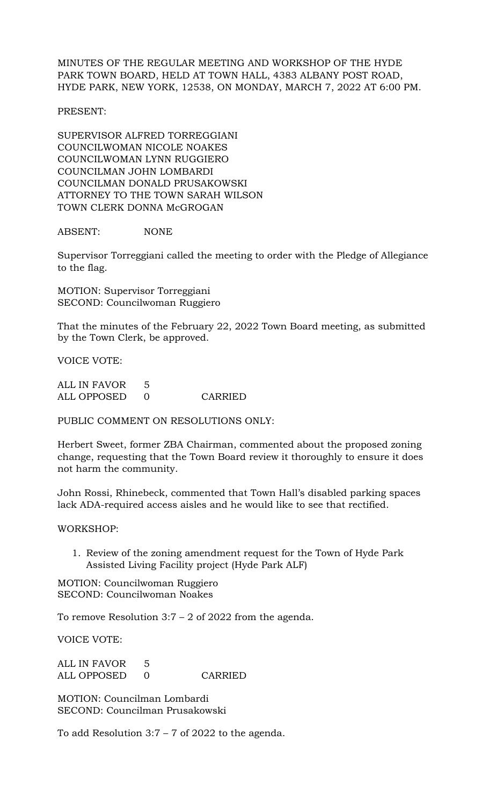MINUTES OF THE REGULAR MEETING AND WORKSHOP OF THE HYDE PARK TOWN BOARD, HELD AT TOWN HALL, 4383 ALBANY POST ROAD, HYDE PARK, NEW YORK, 12538, ON MONDAY, MARCH 7, 2022 AT 6:00 PM.

PRESENT:

SUPERVISOR ALFRED TORREGGIANI COUNCILWOMAN NICOLE NOAKES COUNCILWOMAN LYNN RUGGIERO COUNCILMAN JOHN LOMBARDI COUNCILMAN DONALD PRUSAKOWSKI ATTORNEY TO THE TOWN SARAH WILSON TOWN CLERK DONNA McGROGAN

ABSENT: NONE

Supervisor Torreggiani called the meeting to order with the Pledge of Allegiance to the flag.

MOTION: Supervisor Torreggiani SECOND: Councilwoman Ruggiero

That the minutes of the February 22, 2022 Town Board meeting, as submitted by the Town Clerk, be approved.

VOICE VOTE:

ALL IN FAVOR 5 ALL OPPOSED 0 CARRIED

PUBLIC COMMENT ON RESOLUTIONS ONLY:

Herbert Sweet, former ZBA Chairman, commented about the proposed zoning change, requesting that the Town Board review it thoroughly to ensure it does not harm the community.

John Rossi, Rhinebeck, commented that Town Hall's disabled parking spaces lack ADA-required access aisles and he would like to see that rectified.

WORKSHOP:

1. Review of the zoning amendment request for the Town of Hyde Park Assisted Living Facility project (Hyde Park ALF)

MOTION: Councilwoman Ruggiero SECOND: Councilwoman Noakes

To remove Resolution  $3:7 - 2$  of 2022 from the agenda.

VOICE VOTE:

ALL IN FAVOR 5 ALL OPPOSED 0 CARRIED

MOTION: Councilman Lombardi SECOND: Councilman Prusakowski

To add Resolution 3:7 – 7 of 2022 to the agenda.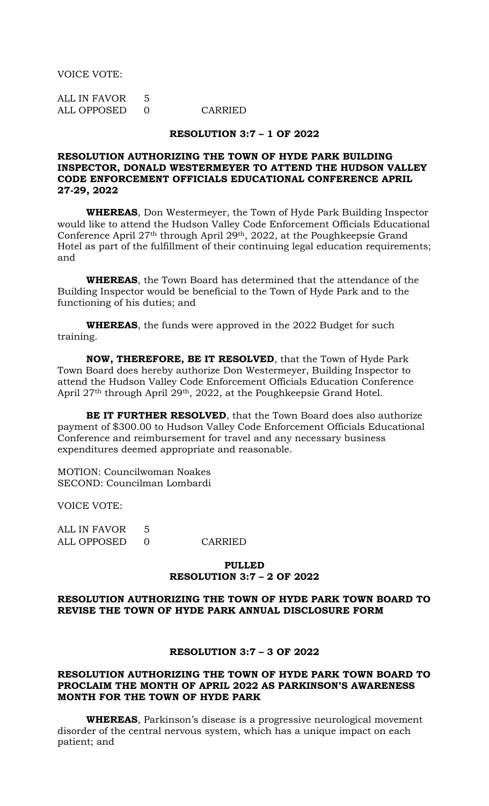VOICE VOTE:

ALL IN FAVOR 5 ALL OPPOSED 0 CARRIED

# **RESOLUTION 3:7 – 1 OF 2022**

# **RESOLUTION AUTHORIZING THE TOWN OF HYDE PARK BUILDING INSPECTOR, DONALD WESTERMEYER TO ATTEND THE HUDSON VALLEY CODE ENFORCEMENT OFFICIALS EDUCATIONAL CONFERENCE APRIL 27-29, 2022**

**WHEREAS**, Don Westermeyer, the Town of Hyde Park Building Inspector would like to attend the Hudson Valley Code Enforcement Officials Educational Conference April 27th through April 29th, 2022, at the Poughkeepsie Grand Hotel as part of the fulfillment of their continuing legal education requirements; and

**WHEREAS**, the Town Board has determined that the attendance of the Building Inspector would be beneficial to the Town of Hyde Park and to the functioning of his duties; and

**WHEREAS**, the funds were approved in the 2022 Budget for such training.

**NOW, THEREFORE, BE IT RESOLVED**, that the Town of Hyde Park Town Board does hereby authorize Don Westermeyer, Building Inspector to attend the Hudson Valley Code Enforcement Officials Education Conference April 27th through April 29th, 2022, at the Poughkeepsie Grand Hotel.

**BE IT FURTHER RESOLVED**, that the Town Board does also authorize payment of \$300.00 to Hudson Valley Code Enforcement Officials Educational Conference and reimbursement for travel and any necessary business expenditures deemed appropriate and reasonable.

MOTION: Councilwoman Noakes SECOND: Councilman Lombardi

VOICE VOTE:

| ALL IN FAVOR |         |
|--------------|---------|
| ALL OPPOSED  | CARRIED |

#### **PULLED RESOLUTION 3:7 – 2 OF 2022**

## **RESOLUTION AUTHORIZING THE TOWN OF HYDE PARK TOWN BOARD TO REVISE THE TOWN OF HYDE PARK ANNUAL DISCLOSURE FORM**

## **RESOLUTION 3:7 – 3 OF 2022**

## **RESOLUTION AUTHORIZING THE TOWN OF HYDE PARK TOWN BOARD TO PROCLAIM THE MONTH OF APRIL 2022 AS PARKINSON'S AWARENESS MONTH FOR THE TOWN OF HYDE PARK**

**WHEREAS**, Parkinson's disease is a progressive neurological movement disorder of the central nervous system, which has a unique impact on each patient; and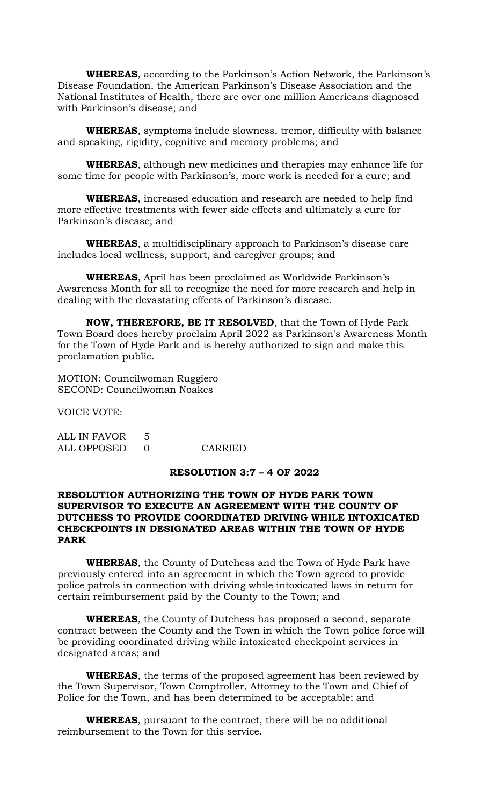**WHEREAS**, according to the Parkinson's Action Network, the Parkinson's Disease Foundation, the American Parkinson's Disease Association and the National Institutes of Health, there are over one million Americans diagnosed with Parkinson's disease; and

**WHEREAS**, symptoms include slowness, tremor, difficulty with balance and speaking, rigidity, cognitive and memory problems; and

**WHEREAS**, although new medicines and therapies may enhance life for some time for people with Parkinson's, more work is needed for a cure; and

**WHEREAS**, increased education and research are needed to help find more effective treatments with fewer side effects and ultimately a cure for Parkinson's disease; and

**WHEREAS**, a multidisciplinary approach to Parkinson's disease care includes local wellness, support, and caregiver groups; and

**WHEREAS**, April has been proclaimed as Worldwide Parkinson's Awareness Month for all to recognize the need for more research and help in dealing with the devastating effects of Parkinson's disease.

**NOW, THEREFORE, BE IT RESOLVED**, that the Town of Hyde Park Town Board does hereby proclaim April 2022 as Parkinson's Awareness Month for the Town of Hyde Park and is hereby authorized to sign and make this proclamation public.

MOTION: Councilwoman Ruggiero SECOND: Councilwoman Noakes

VOICE VOTE:

ALL IN FAVOR 5 ALL OPPOSED 0 CARRIED

#### **RESOLUTION 3:7 – 4 OF 2022**

#### **RESOLUTION AUTHORIZING THE TOWN OF HYDE PARK TOWN SUPERVISOR TO EXECUTE AN AGREEMENT WITH THE COUNTY OF DUTCHESS TO PROVIDE COORDINATED DRIVING WHILE INTOXICATED CHECKPOINTS IN DESIGNATED AREAS WITHIN THE TOWN OF HYDE PARK**

**WHEREAS**, the County of Dutchess and the Town of Hyde Park have previously entered into an agreement in which the Town agreed to provide police patrols in connection with driving while intoxicated laws in return for certain reimbursement paid by the County to the Town; and

**WHEREAS**, the County of Dutchess has proposed a second, separate contract between the County and the Town in which the Town police force will be providing coordinated driving while intoxicated checkpoint services in designated areas; and

**WHEREAS**, the terms of the proposed agreement has been reviewed by the Town Supervisor, Town Comptroller, Attorney to the Town and Chief of Police for the Town, and has been determined to be acceptable; and

**WHEREAS**, pursuant to the contract, there will be no additional reimbursement to the Town for this service.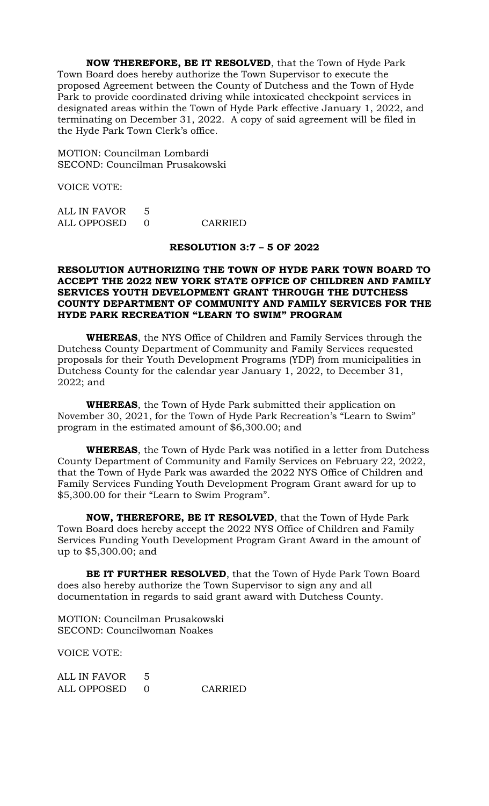**NOW THEREFORE, BE IT RESOLVED**, that the Town of Hyde Park Town Board does hereby authorize the Town Supervisor to execute the proposed Agreement between the County of Dutchess and the Town of Hyde Park to provide coordinated driving while intoxicated checkpoint services in designated areas within the Town of Hyde Park effective January 1, 2022, and terminating on December 31, 2022. A copy of said agreement will be filed in the Hyde Park Town Clerk's office.

MOTION: Councilman Lombardi SECOND: Councilman Prusakowski

VOICE VOTE:

| ALL IN FAVOR |         |
|--------------|---------|
| ALL OPPOSED  | CARRIED |

#### **RESOLUTION 3:7 – 5 OF 2022**

## **RESOLUTION AUTHORIZING THE TOWN OF HYDE PARK TOWN BOARD TO ACCEPT THE 2022 NEW YORK STATE OFFICE OF CHILDREN AND FAMILY SERVICES YOUTH DEVELOPMENT GRANT THROUGH THE DUTCHESS COUNTY DEPARTMENT OF COMMUNITY AND FAMILY SERVICES FOR THE HYDE PARK RECREATION "LEARN TO SWIM" PROGRAM**

**WHEREAS**, the NYS Office of Children and Family Services through the Dutchess County Department of Community and Family Services requested proposals for their Youth Development Programs (YDP) from municipalities in Dutchess County for the calendar year January 1, 2022, to December 31, 2022; and

**WHEREAS**, the Town of Hyde Park submitted their application on November 30, 2021, for the Town of Hyde Park Recreation's "Learn to Swim" program in the estimated amount of \$6,300.00; and

**WHEREAS**, the Town of Hyde Park was notified in a letter from Dutchess County Department of Community and Family Services on February 22, 2022, that the Town of Hyde Park was awarded the 2022 NYS Office of Children and Family Services Funding Youth Development Program Grant award for up to \$5,300.00 for their "Learn to Swim Program".

**NOW, THEREFORE, BE IT RESOLVED**, that the Town of Hyde Park Town Board does hereby accept the 2022 NYS Office of Children and Family Services Funding Youth Development Program Grant Award in the amount of up to \$5,300.00; and

**BE IT FURTHER RESOLVED**, that the Town of Hyde Park Town Board does also hereby authorize the Town Supervisor to sign any and all documentation in regards to said grant award with Dutchess County.

MOTION: Councilman Prusakowski SECOND: Councilwoman Noakes

VOICE VOTE:

ALL IN FAVOR 5 ALL OPPOSED 0 CARRIED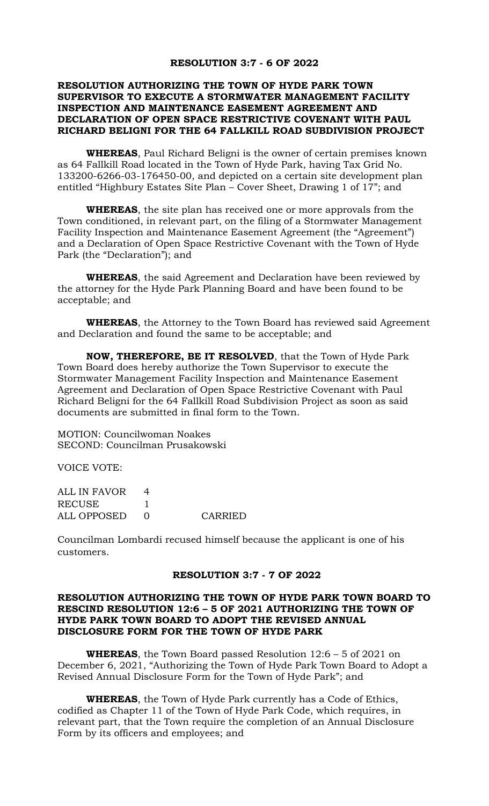#### **RESOLUTION 3:7 - 6 OF 2022**

## **RESOLUTION AUTHORIZING THE TOWN OF HYDE PARK TOWN SUPERVISOR TO EXECUTE A STORMWATER MANAGEMENT FACILITY INSPECTION AND MAINTENANCE EASEMENT AGREEMENT AND DECLARATION OF OPEN SPACE RESTRICTIVE COVENANT WITH PAUL RICHARD BELIGNI FOR THE 64 FALLKILL ROAD SUBDIVISION PROJECT**

**WHEREAS**, Paul Richard Beligni is the owner of certain premises known as 64 Fallkill Road located in the Town of Hyde Park, having Tax Grid No. 133200-6266-03-176450-00, and depicted on a certain site development plan entitled "Highbury Estates Site Plan – Cover Sheet, Drawing 1 of 17"; and

**WHEREAS**, the site plan has received one or more approvals from the Town conditioned, in relevant part, on the filing of a Stormwater Management Facility Inspection and Maintenance Easement Agreement (the "Agreement") and a Declaration of Open Space Restrictive Covenant with the Town of Hyde Park (the "Declaration"); and

**WHEREAS**, the said Agreement and Declaration have been reviewed by the attorney for the Hyde Park Planning Board and have been found to be acceptable; and

**WHEREAS**, the Attorney to the Town Board has reviewed said Agreement and Declaration and found the same to be acceptable; and

**NOW, THEREFORE, BE IT RESOLVED**, that the Town of Hyde Park Town Board does hereby authorize the Town Supervisor to execute the Stormwater Management Facility Inspection and Maintenance Easement Agreement and Declaration of Open Space Restrictive Covenant with Paul Richard Beligni for the 64 Fallkill Road Subdivision Project as soon as said documents are submitted in final form to the Town.

MOTION: Councilwoman Noakes SECOND: Councilman Prusakowski

VOICE VOTE:

| ALL IN FAVOR  |         |
|---------------|---------|
| <b>RECUSE</b> |         |
| ALL OPPOSED   | CARRIED |

Councilman Lombardi recused himself because the applicant is one of his customers.

#### **RESOLUTION 3:7 - 7 OF 2022**

## **RESOLUTION AUTHORIZING THE TOWN OF HYDE PARK TOWN BOARD TO RESCIND RESOLUTION 12:6 – 5 OF 2021 AUTHORIZING THE TOWN OF HYDE PARK TOWN BOARD TO ADOPT THE REVISED ANNUAL DISCLOSURE FORM FOR THE TOWN OF HYDE PARK**

**WHEREAS**, the Town Board passed Resolution 12:6 – 5 of 2021 on December 6, 2021, "Authorizing the Town of Hyde Park Town Board to Adopt a Revised Annual Disclosure Form for the Town of Hyde Park"; and

**WHEREAS**, the Town of Hyde Park currently has a Code of Ethics, codified as Chapter 11 of the Town of Hyde Park Code, which requires, in relevant part, that the Town require the completion of an Annual Disclosure Form by its officers and employees; and